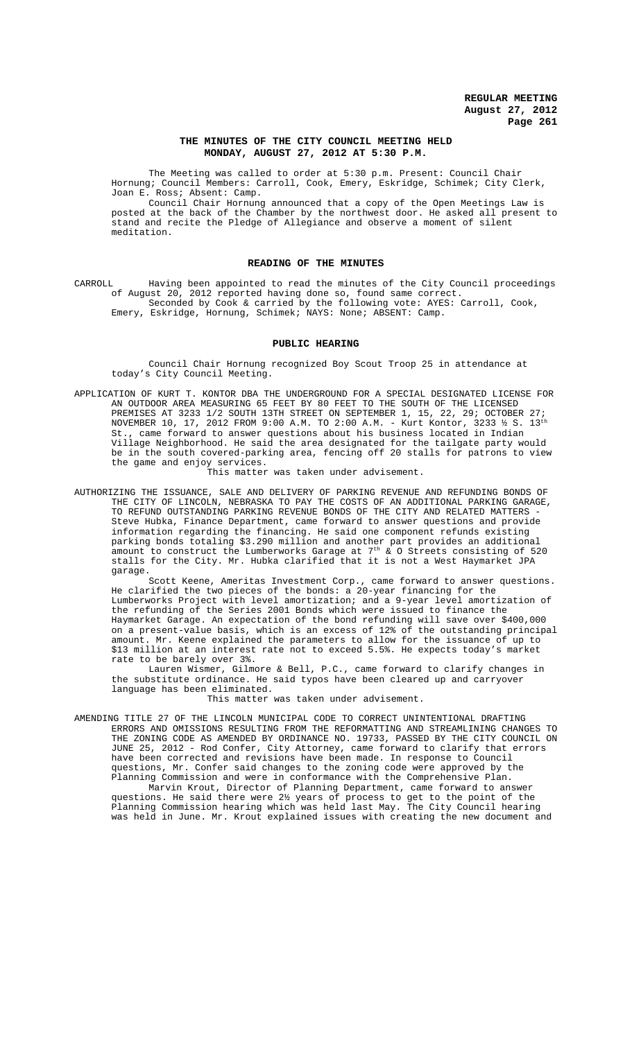## **THE MINUTES OF THE CITY COUNCIL MEETING HELD MONDAY, AUGUST 27, 2012 AT 5:30 P.M.**

The Meeting was called to order at 5:30 p.m. Present: Council Chair Hornung; Council Members: Carroll, Cook, Emery, Eskridge, Schimek; City Clerk, Joan E. Ross; Absent: Camp.

Council Chair Hornung announced that a copy of the Open Meetings Law is posted at the back of the Chamber by the northwest door. He asked all present to stand and recite the Pledge of Allegiance and observe a moment of silent meditation.

## **READING OF THE MINUTES**

CARROLL Having been appointed to read the minutes of the City Council proceedings of August 20, 2012 reported having done so, found same correct. Seconded by Cook & carried by the following vote: AYES: Carroll, Cook, Emery, Eskridge, Hornung, Schimek; NAYS: None; ABSENT: Camp.

## **PUBLIC HEARING**

Council Chair Hornung recognized Boy Scout Troop 25 in attendance at today's City Council Meeting.

APPLICATION OF KURT T. KONTOR DBA THE UNDERGROUND FOR A SPECIAL DESIGNATED LICENSE FOR AN OUTDOOR AREA MEASURING 65 FEET BY 80 FEET TO THE SOUTH OF THE LICENSED PREMISES AT 3233 1/2 SOUTH 13TH STREET ON SEPTEMBER 1, 15, 22, 29; OCTOBER 27; NOVEMBER 10, 17, 2012 FROM 9:00 A.M. TO 2:00 A.M. - Kurt Kontor, 3233  $\frac{1}{2}$  S.  $13^{\text{th}}$ St., came forward to answer questions about his business located in Indian Village Neighborhood. He said the area designated for the tailgate party would be in the south covered-parking area, fencing off 20 stalls for patrons to view the game and enjoy services.

This matter was taken under advisement.

AUTHORIZING THE ISSUANCE, SALE AND DELIVERY OF PARKING REVENUE AND REFUNDING BONDS OF THE CITY OF LINCOLN, NEBRASKA TO PAY THE COSTS OF AN ADDITIONAL PARKING GARAGE, TO REFUND OUTSTANDING PARKING REVENUE BONDS OF THE CITY AND RELATED MATTERS - Steve Hubka, Finance Department, came forward to answer questions and provide information regarding the financing. He said one component refunds existing parking bonds totaling \$3.290 million and another part provides an additional amount to construct the Lumberworks Garage at  $7^{\rm th}$  & O Streets consisting of 520 stalls for the City. Mr. Hubka clarified that it is not a West Haymarket JPA garage.

Scott Keene, Ameritas Investment Corp., came forward to answer questions. He clarified the two pieces of the bonds: a 20-year financing for the Lumberworks Project with level amortization; and a 9-year level amortization of the refunding of the Series 2001 Bonds which were issued to finance the Haymarket Garage. An expectation of the bond refunding will save over \$400,000 on a present-value basis, which is an excess of 12% of the outstanding principal amount. Mr. Keene explained the parameters to allow for the issuance of up to \$13 million at an interest rate not to exceed 5.5%. He expects today's market rate to be barely over 3%.

Lauren Wismer, Gilmore & Bell, P.C., came forward to clarify changes in the substitute ordinance. He said typos have been cleared up and carryover language has been eliminated.

This matter was taken under advisement.

AMENDING TITLE 27 OF THE LINCOLN MUNICIPAL CODE TO CORRECT UNINTENTIONAL DRAFTING ERRORS AND OMISSIONS RESULTING FROM THE REFORMATTING AND STREAMLINING CHANGES TO THE ZONING CODE AS AMENDED BY ORDINANCE NO. 19733, PASSED BY THE CITY COUNCIL ON JUNE 25, 2012 - Rod Confer, City Attorney, came forward to clarify that errors have been corrected and revisions have been made. In response to Council questions, Mr. Confer said changes to the zoning code were approved by the Planning Commission and were in conformance with the Comprehensive Plan.

Marvin Krout, Director of Planning Department, came forward to answer questions. He said there were 2½ years of process to get to the point of the Planning Commission hearing which was held last May. The City Council hearing was held in June. Mr. Krout explained issues with creating the new document and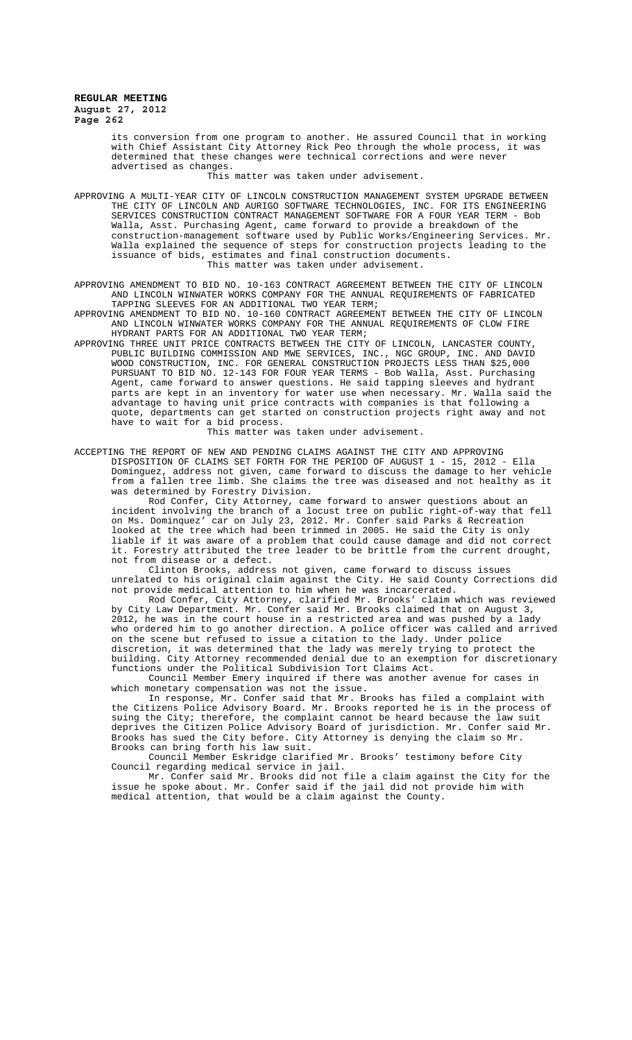its conversion from one program to another. He assured Council that in working with Chief Assistant City Attorney Rick Peo through the whole process, it was determined that these changes were technical corrections and were never advertised as changes.

This matter was taken under advisement.

APPROVING A MULTI-YEAR CITY OF LINCOLN CONSTRUCTION MANAGEMENT SYSTEM UPGRADE BETWEEN THE CITY OF LINCOLN AND AURIGO SOFTWARE TECHNOLOGIES, INC. FOR ITS ENGINEERING SERVICES CONSTRUCTION CONTRACT MANAGEMENT SOFTWARE FOR A FOUR YEAR TERM - Bob Walla, Asst. Purchasing Agent, came forward to provide a breakdown of the construction-management software used by Public Works/Engineering Services. Mr. Walla explained the sequence of steps for construction projects leading to the issuance of bids, estimates and final construction documents. This matter was taken under advisement.

APPROVING AMENDMENT TO BID NO. 10-163 CONTRACT AGREEMENT BETWEEN THE CITY OF LINCOLN AND LINCOLN WINWATER WORKS COMPANY FOR THE ANNUAL REQUIREMENTS OF FABRICATED TAPPING SLEEVES FOR AN ADDITIONAL TWO YEAR TERM;

APPROVING AMENDMENT TO BID NO. 10-160 CONTRACT AGREEMENT BETWEEN THE CITY OF LINCOLN AND LINCOLN WINWATER WORKS COMPANY FOR THE ANNUAL REQUIREMENTS OF CLOW FIRE HYDRANT PARTS FOR AN ADDITIONAL TWO YEAR TERM;

APPROVING THREE UNIT PRICE CONTRACTS BETWEEN THE CITY OF LINCOLN, LANCASTER COUNTY, PUBLIC BUILDING COMMISSION AND MWE SERVICES, INC., NGC GROUP, INC. AND DAVID WOOD CONSTRUCTION, INC. FOR GENERAL CONSTRUCTION PROJECTS LESS THAN \$25,000 PURSUANT TO BID NO. 12-143 FOR FOUR YEAR TERMS - Bob Walla, Asst. Purchasing Agent, came forward to answer questions. He said tapping sleeves and hydrant parts are kept in an inventory for water use when necessary. Mr. Walla said the advantage to having unit price contracts with companies is that following a quote, departments can get started on construction projects right away and not have to wait for a bid process.

This matter was taken under advisement.

ACCEPTING THE REPORT OF NEW AND PENDING CLAIMS AGAINST THE CITY AND APPROVING DISPOSITION OF CLAIMS SET FORTH FOR THE PERIOD OF AUGUST 1 - 15, 2012 - Ella Dominguez, address not given, came forward to discuss the damage to her vehicle from a fallen tree limb. She claims the tree was diseased and not healthy as it was determined by Forestry Division.

Rod Confer, City Attorney, came forward to answer questions about an incident involving the branch of a locust tree on public right-of-way that fell on Ms. Dominquez' car on July 23, 2012. Mr. Confer said Parks & Recreation looked at the tree which had been trimmed in 2005. He said the City is only liable if it was aware of a problem that could cause damage and did not correct it. Forestry attributed the tree leader to be brittle from the current drought, not from disease or a defect.

Clinton Brooks, address not given, came forward to discuss issues unrelated to his original claim against the City. He said County Corrections did not provide medical attention to him when he was incarcerated.

Rod Confer, City Attorney, clarified Mr. Brooks' claim which was reviewed by City Law Department. Mr. Confer said Mr. Brooks claimed that on August 3, 2012, he was in the court house in a restricted area and was pushed by a lady who ordered him to go another direction. A police officer was called and arrived on the scene but refused to issue a citation to the lady. Under police discretion, it was determined that the lady was merely trying to protect the building. City Attorney recommended denial due to an exemption for discretionary functions under the Political Subdivision Tort Claims Act.

Council Member Emery inquired if there was another avenue for cases in which monetary compensation was not the issue.

In response, Mr. Confer said that Mr. Brooks has filed a complaint with the Citizens Police Advisory Board. Mr. Brooks reported he is in the process of suing the City; therefore, the complaint cannot be heard because the law suit deprives the Citizen Police Advisory Board of jurisdiction. Mr. Confer said Mr. Brooks has sued the City before. City Attorney is denying the claim so Mr. Brooks can bring forth his law suit.

Council Member Eskridge clarified Mr. Brooks' testimony before City Council regarding medical service in jail.

Mr. Confer said Mr. Brooks did not file a claim against the City for the issue he spoke about. Mr. Confer said if the jail did not provide him with medical attention, that would be a claim against the County.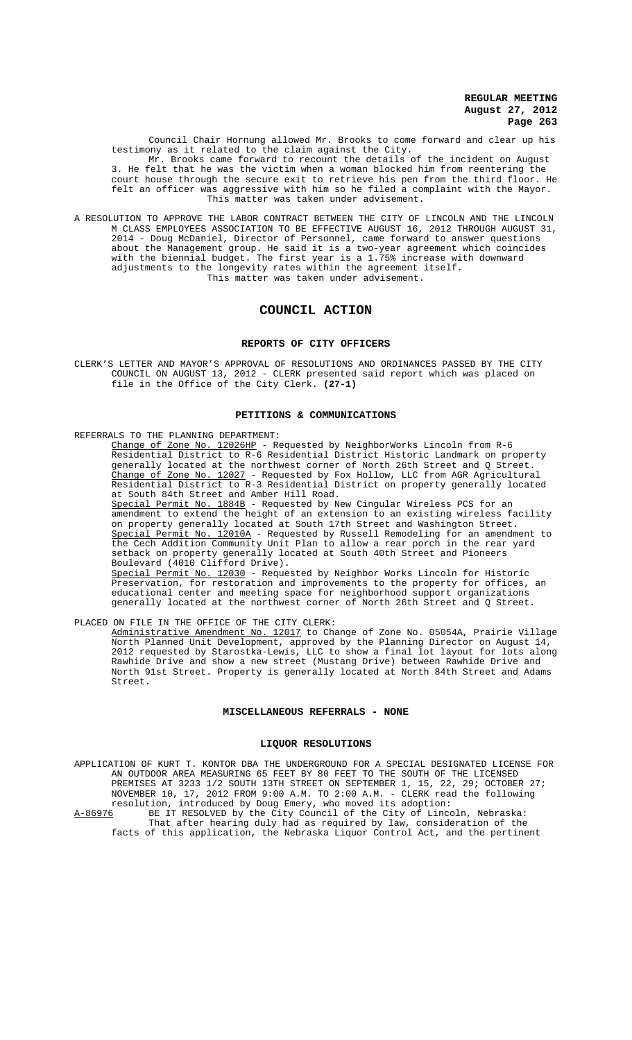Council Chair Hornung allowed Mr. Brooks to come forward and clear up his testimony as it related to the claim against the City.

Mr. Brooks came forward to recount the details of the incident on August 3. He felt that he was the victim when a woman blocked him from reentering the court house through the secure exit to retrieve his pen from the third floor. He felt an officer was aggressive with him so he filed a complaint with the Mayor. This matter was taken under advisement.

A RESOLUTION TO APPROVE THE LABOR CONTRACT BETWEEN THE CITY OF LINCOLN AND THE LINCOLN M CLASS EMPLOYEES ASSOCIATION TO BE EFFECTIVE AUGUST 16, 2012 THROUGH AUGUST 31, 2014 - Doug McDaniel, Director of Personnel, came forward to answer questions about the Management group. He said it is a two-year agreement which coincides with the biennial budget. The first year is a 1.75% increase with downward adjustments to the longevity rates within the agreement itself. This matter was taken under advisement.

# **COUNCIL ACTION**

#### **REPORTS OF CITY OFFICERS**

CLERK'S LETTER AND MAYOR'S APPROVAL OF RESOLUTIONS AND ORDINANCES PASSED BY THE CITY COUNCIL ON AUGUST 13, 2012 - CLERK presented said report which was placed on file in the Office of the City Clerk. **(27-1)**

#### **PETITIONS & COMMUNICATIONS**

REFERRALS TO THE PLANNING DEPARTMENT:

<u>Change of Zone No. 12026HP</u> - Requested by NeighborWorks Lincoln from R-6 Residential District to R-6 Residential District Historic Landmark on property generally located at the northwest corner of North 26th Street and Q Street. Change of Zone No. 12027 - Requested by Fox Hollow, LLC from AGR Agricultural Residential District to R-3 Residential District on property generally located at South 84th Street and Amber Hill Road.

Special Permit No. 1884B - Requested by New Cingular Wireless PCS for an amendment to extend the height of an extension to an existing wireless facility on property generally located at South 17th Street and Washington Street. Special Permit No. 12010A - Requested by Russell Remodeling for an amendment to the Cech Addition Community Unit Plan to allow a rear porch in the rear yard setback on property generally located at South 40th Street and Pioneers Boulevard (4010 Clifford Drive).

Special Permit No. 12030 - Requested by Neighbor Works Lincoln for Historic Preservation, for restoration and improvements to the property for offices, an educational center and meeting space for neighborhood support organizations generally located at the northwest corner of North 26th Street and Q Street.

PLACED ON FILE IN THE OFFICE OF THE CITY CLERK: Administrative Amendment No. 12017 to Change of Zone No. 05054A, Prairie Village North Planned Unit Development, approved by the Planning Director on August 14, 2012 requested by Starostka-Lewis, LLC to show a final lot layout for lots along Rawhide Drive and show a new street (Mustang Drive) between Rawhide Drive and North 91st Street. Property is generally located at North 84th Street and Adams Street.

#### **MISCELLANEOUS REFERRALS - NONE**

#### **LIQUOR RESOLUTIONS**

APPLICATION OF KURT T. KONTOR DBA THE UNDERGROUND FOR A SPECIAL DESIGNATED LICENSE FOR AN OUTDOOR AREA MEASURING 65 FEET BY 80 FEET TO THE SOUTH OF THE LICENSED PREMISES AT 3233 1/2 SOUTH 13TH STREET ON SEPTEMBER 1, 15, 22, 29; OCTOBER 27; NOVEMBER 10, 17, 2012 FROM 9:00 A.M. TO 2:00 A.M. - CLERK read the following resolution, introduced by Doug Emery, who moved its adoption: A-86976 BE IT RESOLVED by the City Council of the City of Lincoln, Nebraska: That after hearing duly had as required by law, consideration of the facts of this application, the Nebraska Liquor Control Act, and the pertinent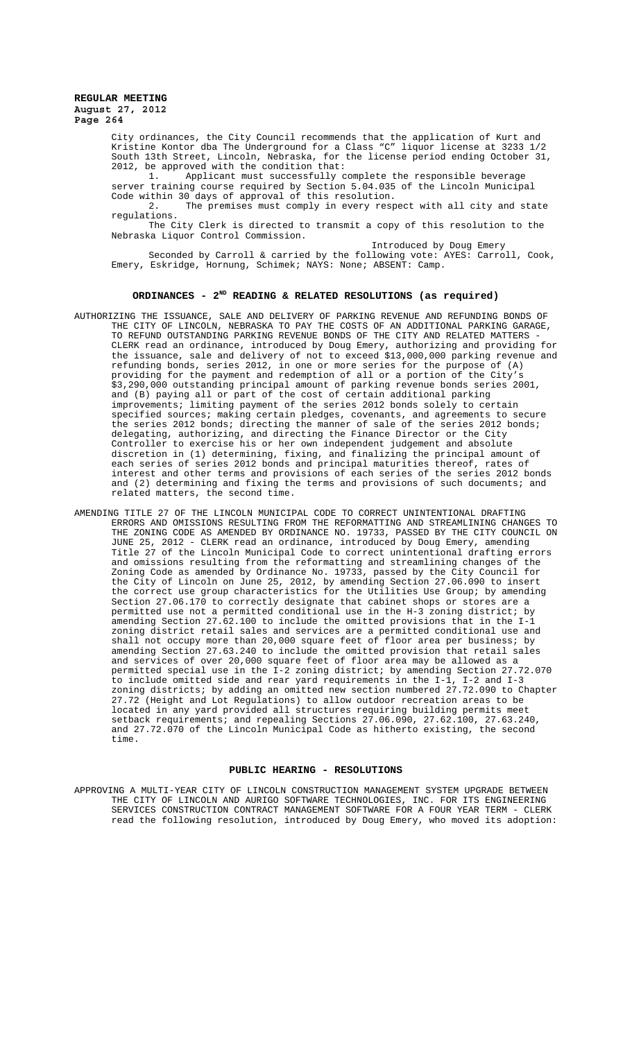> City ordinances, the City Council recommends that the application of Kurt and Kristine Kontor dba The Underground for a Class "C" liquor license at 3233 1/2 South 13th Street, Lincoln, Nebraska, for the license period ending October 31, 2012, be approved with the condition that:<br>1. Applicant must successfully c

Applicant must successfully complete the responsible beverage server training course required by Section 5.04.035 of the Lincoln Municipal Code within 30 days of approval of this resolution.

2. The premises must comply in every respect with all city and state regulations.

The City Clerk is directed to transmit a copy of this resolution to the Nebraska Liquor Control Commission.

Introduced by Doug Emery

Seconded by Carroll & carried by the following vote: AYES: Carroll, Cook, Emery, Eskridge, Hornung, Schimek; NAYS: None; ABSENT: Camp.

## **ORDINANCES - 2ND READING & RELATED RESOLUTIONS (as required)**

- AUTHORIZING THE ISSUANCE, SALE AND DELIVERY OF PARKING REVENUE AND REFUNDING BONDS OF THE CITY OF LINCOLN, NEBRASKA TO PAY THE COSTS OF AN ADDITIONAL PARKING GARAGE, TO REFUND OUTSTANDING PARKING REVENUE BONDS OF THE CITY AND RELATED MATTERS - CLERK read an ordinance, introduced by Doug Emery, authorizing and providing for the issuance, sale and delivery of not to exceed \$13,000,000 parking revenue and refunding bonds, series 2012, in one or more series for the purpose of (A) providing for the payment and redemption of all or a portion of the City's \$3,290,000 outstanding principal amount of parking revenue bonds series 2001, and (B) paying all or part of the cost of certain additional parking improvements; limiting payment of the series 2012 bonds solely to certain specified sources; making certain pledges, covenants, and agreements to secure the series 2012 bonds; directing the manner of sale of the series 2012 bonds; delegating, authorizing, and directing the Finance Director or the City Controller to exercise his or her own independent judgement and absolute discretion in (1) determining, fixing, and finalizing the principal amount of each series of series 2012 bonds and principal maturities thereof, rates of interest and other terms and provisions of each series of the series 2012 bonds and (2) determining and fixing the terms and provisions of such documents; and related matters, the second time.
- AMENDING TITLE 27 OF THE LINCOLN MUNICIPAL CODE TO CORRECT UNINTENTIONAL DRAFTING ERRORS AND OMISSIONS RESULTING FROM THE REFORMATTING AND STREAMLINING CHANGES TO THE ZONING CODE AS AMENDED BY ORDINANCE NO. 19733, PASSED BY THE CITY COUNCIL ON JUNE 25, 2012 - CLERK read an ordinance, introduced by Doug Emery, amending Title 27 of the Lincoln Municipal Code to correct unintentional drafting errors and omissions resulting from the reformatting and streamlining changes of the Zoning Code as amended by Ordinance No. 19733, passed by the City Council for the City of Lincoln on June 25, 2012, by amending Section 27.06.090 to insert the correct use group characteristics for the Utilities Use Group; by amending Section 27.06.170 to correctly designate that cabinet shops or stores are a permitted use not a permitted conditional use in the H-3 zoning district; by amending Section 27.62.100 to include the omitted provisions that in the I-1 zoning district retail sales and services are a permitted conditional use and shall not occupy more than 20,000 square feet of floor area per business; by amending Section 27.63.240 to include the omitted provision that retail sales and services of over 20,000 square feet of floor area may be allowed as a permitted special use in the I-2 zoning district; by amending Section 27.72.070 to include omitted side and rear yard requirements in the I-1, I-2 and I-3 zoning districts; by adding an omitted new section numbered 27.72.090 to Chapter 27.72 (Height and Lot Regulations) to allow outdoor recreation areas to be located in any yard provided all structures requiring building permits meet setback requirements; and repealing Sections 27.06.090, 27.62.100, 27.63.240, and 27.72.070 of the Lincoln Municipal Code as hitherto existing, the second time.

### **PUBLIC HEARING - RESOLUTIONS**

APPROVING A MULTI-YEAR CITY OF LINCOLN CONSTRUCTION MANAGEMENT SYSTEM UPGRADE BETWEEN THE CITY OF LINCOLN AND AURIGO SOFTWARE TECHNOLOGIES, INC. FOR ITS ENGINEERING SERVICES CONSTRUCTION CONTRACT MANAGEMENT SOFTWARE FOR A FOUR YEAR TERM - CLERK read the following resolution, introduced by Doug Emery, who moved its adoption: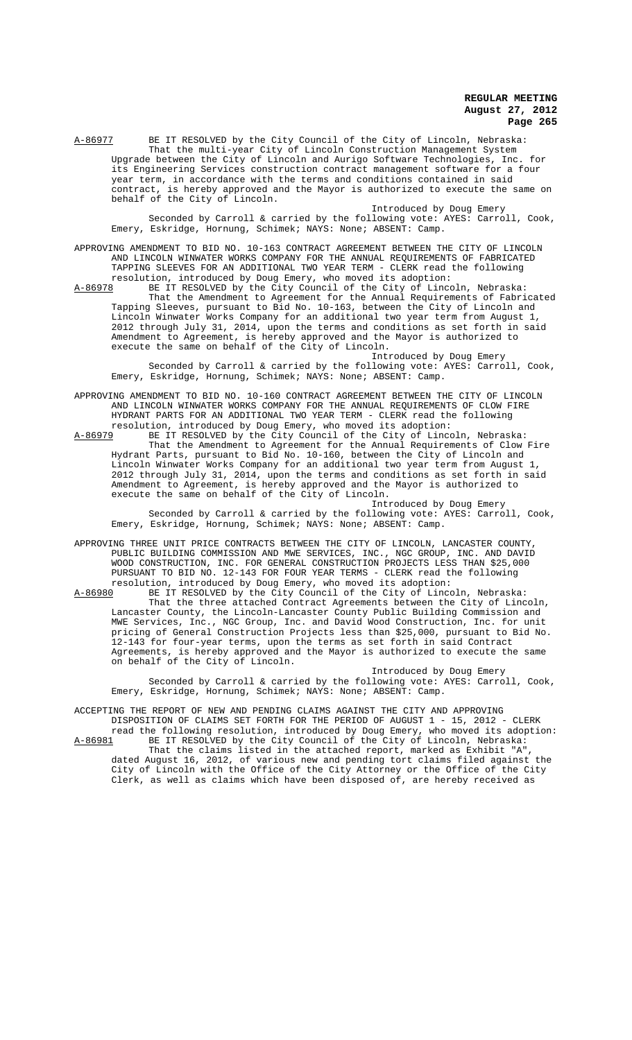A-86977 BE IT RESOLVED by the City Council of the City of Lincoln, Nebraska: That the multi-year City of Lincoln Construction Management System Upgrade between the City of Lincoln and Aurigo Software Technologies, Inc. for its Engineering Services construction contract management software for a four year term, in accordance with the terms and conditions contained in said contract, is hereby approved and the Mayor is authorized to execute the same on behalf of the City of Lincoln.

Introduced by Doug Emery Seconded by Carroll & carried by the following vote: AYES: Carroll, Cook, Emery, Eskridge, Hornung, Schimek; NAYS: None; ABSENT: Camp.

APPROVING AMENDMENT TO BID NO. 10-163 CONTRACT AGREEMENT BETWEEN THE CITY OF LINCOLN AND LINCOLN WINWATER WORKS COMPANY FOR THE ANNUAL REQUIREMENTS OF FABRICATED TAPPING SLEEVES FOR AN ADDITIONAL TWO YEAR TERM - CLERK read the following resolution, introduced by Doug Emery, who moved its adoption:<br>A-86978 BE IT RESOLVED by the City Council of the City of Linco

A-86978 BE IT RESOLVED by the City Council of the City of Lincoln, Nebraska: That the Amendment to Agreement for the Annual Requirements of Fabricated Tapping Sleeves, pursuant to Bid No. 10-163, between the City of Lincoln and Lincoln Winwater Works Company for an additional two year term from August 1, 2012 through July 31, 2014, upon the terms and conditions as set forth in said Amendment to Agreement, is hereby approved and the Mayor is authorized to execute the same on behalf of the City of Lincoln.

Introduced by Doug Emery Seconded by Carroll & carried by the following vote: AYES: Carroll, Cook, Emery, Eskridge, Hornung, Schimek; NAYS: None; ABSENT: Camp.

APPROVING AMENDMENT TO BID NO. 10-160 CONTRACT AGREEMENT BETWEEN THE CITY OF LINCOLN AND LINCOLN WINWATER WORKS COMPANY FOR THE ANNUAL REQUIREMENTS OF CLOW FIRE HYDRANT PARTS FOR AN ADDITIONAL TWO YEAR TERM - CLERK read the following

resolution, introduced by Doug Emery, who moved its adoption:<br>A-86979 BE IT RESOLVED by the City Council of the City of Linco A-86979 BE IT RESOLVED by the City Council of the City of Lincoln, Nebraska: That the Amendment to Agreement for the Annual Requirements of Clow Fire Hydrant Parts, pursuant to Bid No. 10-160, between the City of Lincoln and Lincoln Winwater Works Company for an additional two year term from August 1, 2012 through July 31, 2014, upon the terms and conditions as set forth in said Amendment to Agreement, is hereby approved and the Mayor is authorized to execute the same on behalf of the City of Lincoln.

Introduced by Doug Emery Seconded by Carroll & carried by the following vote: AYES: Carroll, Cook, Emery, Eskridge, Hornung, Schimek; NAYS: None; ABSENT: Camp.

APPROVING THREE UNIT PRICE CONTRACTS BETWEEN THE CITY OF LINCOLN, LANCASTER COUNTY, PUBLIC BUILDING COMMISSION AND MWE SERVICES, INC., NGC GROUP, INC. AND DAVID WOOD CONSTRUCTION, INC. FOR GENERAL CONSTRUCTION PROJECTS LESS THAN \$25,000 PURSUANT TO BID NO. 12-143 FOR FOUR YEAR TERMS - CLERK read the following resolution, introduced by Doug Emery, who moved its adoption:

A-86980 BE IT RESOLVED by the City Council of the City of Lincoln, Nebraska: That the three attached Contract Agreements between the City of Lincoln, Lancaster County, the Lincoln-Lancaster County Public Building Commission and MWE Services, Inc., NGC Group, Inc. and David Wood Construction, Inc. for unit pricing of General Construction Projects less than \$25,000, pursuant to Bid No. 12-143 for four-year terms, upon the terms as set forth in said Contract Agreements, is hereby approved and the Mayor is authorized to execute the same on behalf of the City of Lincoln.

Introduced by Doug Emery Seconded by Carroll & carried by the following vote: AYES: Carroll, Cook, Emery, Eskridge, Hornung, Schimek; NAYS: None; ABSENT: Camp.

ACCEPTING THE REPORT OF NEW AND PENDING CLAIMS AGAINST THE CITY AND APPROVING DISPOSITION OF CLAIMS SET FORTH FOR THE PERIOD OF AUGUST 1 - 15, 2012 - CLERK read the following resolution, introduced by Doug Emery, who moved its adoption:

A-86981 BE IT RESOLVED by the City Council of the City of Lincoln, Nebraska: That the claims listed in the attached report, marked as Exhibit "A", dated August 16, 2012, of various new and pending tort claims filed against the City of Lincoln with the Office of the City Attorney or the Office of the City Clerk, as well as claims which have been disposed of, are hereby received as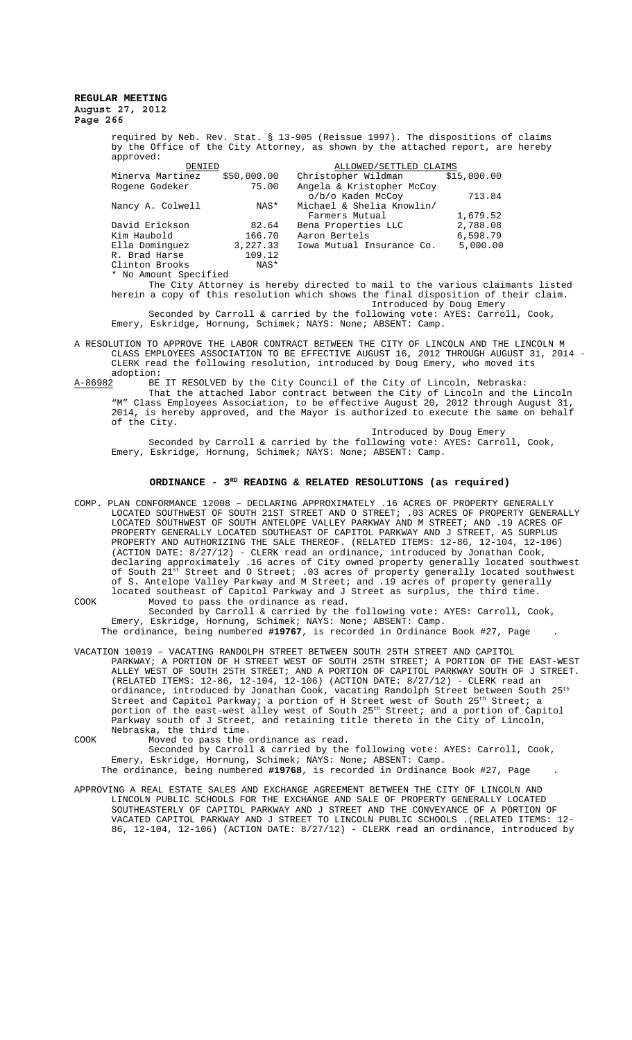> required by Neb. Rev. Stat. § 13-905 (Reissue 1997). The dispositions of claims by the Office of the City Attorney, as shown by the attached report, are hereby approved:

| DENIED                |             | ALLOWED/SETTLED CLAIMS          |          |  |
|-----------------------|-------------|---------------------------------|----------|--|
| Minerva Martinez      | \$50,000.00 | Christopher Wildman \$15,000.00 |          |  |
| Rogene Godeker        | 75.00       | Angela & Kristopher McCoy       |          |  |
|                       |             | o/b/o Kaden McCoy               | 713.84   |  |
| Nancy A. Colwell      | NAS*        | Michael & Shelia Knowlin/       |          |  |
|                       |             | Farmers Mutual                  | 1,679.52 |  |
| David Erickson        | 82.64       | Bena Properties LLC             | 2,788.08 |  |
| Kim Haubold           | 166.70      | Aaron Bertels                   | 6,598.79 |  |
| Ella Dominquez        | 3,227.33    | Iowa Mutual Insurance Co.       | 5,000.00 |  |
| R. Brad Harse         | 109.12      |                                 |          |  |
| Clinton Brooks        | NAS*        |                                 |          |  |
| * No Amount Specified |             |                                 |          |  |

The City Attorney is hereby directed to mail to the various claimants listed herein a copy of this resolution which shows the final disposition of their claim. Introduced by Doug Emery

Seconded by Carroll & carried by the following vote: AYES: Carroll, Cook, Emery, Eskridge, Hornung, Schimek; NAYS: None; ABSENT: Camp.

A RESOLUTION TO APPROVE THE LABOR CONTRACT BETWEEN THE CITY OF LINCOLN AND THE LINCOLN M CLASS EMPLOYEES ASSOCIATION TO BE EFFECTIVE AUGUST 16, 2012 THROUGH AUGUST 31, 2014 - CLERK read the following resolution, introduced by Doug Emery, who moved its adoption:<br>A-86982 BE

A-86982 BE IT RESOLVED by the City Council of the City of Lincoln, Nebraska: That the attached labor contract between the City of Lincoln and the Lincoln "M" Class Employees Association, to be effective August 20, 2012 through August 31, 2014, is hereby approved, and the Mayor is authorized to execute the same on behalf of the City.

Introduced by Doug Emery Seconded by Carroll & carried by the following vote: AYES: Carroll, Cook, Emery, Eskridge, Hornung, Schimek; NAYS: None; ABSENT: Camp.

## **ORDINANCE - 3RD READING & RELATED RESOLUTIONS (as required)**

COMP. PLAN CONFORMANCE 12008 – DECLARING APPROXIMATELY .16 ACRES OF PROPERTY GENERALLY LOCATED SOUTHWEST OF SOUTH 21ST STREET AND O STREET; .03 ACRES OF PROPERTY GENERALLY LOCATED SOUTHWEST OF SOUTH ANTELOPE VALLEY PARKWAY AND M STREET; AND .19 ACRES OF PROPERTY GENERALLY LOCATED SOUTHEAST OF CAPITOL PARKWAY AND J STREET, PROPERTY AND AUTHORIZING THE SALE THEREOF. (RELATED ITEMS: 12-86, 12-104, 12-106) (ACTION DATE: 8/27/12) - CLERK read an ordinance, introduced by Jonathan Cook, declaring approximately .16 acres of City owned property generally located southwest of South  $21^{\text{st}}$  Street and O Street; .03 acres of property generally located southwest of S. Antelope Valley Parkway and M Street; and .19 acres of property generally located southeast of Capitol Parkway and J Street as surplus, the third time.

COOK Moved to pass the ordinance as read. Seconded by Carroll & carried by the following vote: AYES: Carroll, Cook, Emery, Eskridge, Hornung, Schimek; NAYS: None; ABSENT: Camp. The ordinance, being numbered **#19767**, is recorded in Ordinance Book #27, Page .

VACATION 10019 – VACATING RANDOLPH STREET BETWEEN SOUTH 25TH STREET AND CAPITOL

PARKWAY; A PORTION OF H STREET WEST OF SOUTH 25TH STREET; A PORTION OF THE EAST-WEST ALLEY WEST OF SOUTH 25TH STREET; AND A PORTION OF CAPITOL PARKWAY SOUTH OF J STREET. (RELATED ITEMS: 12-86, 12-104, 12-106) (ACTION DATE: 8/27/12) - CLERK read an ordinance, introduced by Jonathan Cook, vacating Randolph Street between South  $25^{\rm th}$ Street and Capitol Parkway; a portion of H Street west of South 25th Street; a Street and Capitol Parkway; a portion of H Street west of South  $25^{th}$  Street; a<br>portion of the east-west alley west of South  $25^{th}$  Street; and a portion of Capitol Parkway south of J Street, and retaining title thereto in the City of Lincoln, Nebraska, the third time.

COOK Moved to pass the ordinance as read.

Seconded by Carroll & carried by the following vote: AYES: Carroll, Cook, Emery, Eskridge, Hornung, Schimek; NAYS: None; ABSENT: Camp.

The ordinance, being numbered **#19768**, is recorded in Ordinance Book #27, Page . APPROVING A REAL ESTATE SALES AND EXCHANGE AGREEMENT BETWEEN THE CITY OF LINCOLN AND

LINCOLN PUBLIC SCHOOLS FOR THE EXCHANGE AND SALE OF PROPERTY GENERALLY LOCATED SOUTHEASTERLY OF CAPITOL PARKWAY AND J STREET AND THE CONVEYANCE OF A PORTION OF VACATED CAPITOL PARKWAY AND J STREET TO LINCOLN PUBLIC SCHOOLS .(RELATED ITEMS: 12- 86, 12-104, 12-106) (ACTION DATE: 8/27/12) - CLERK read an ordinance, introduced by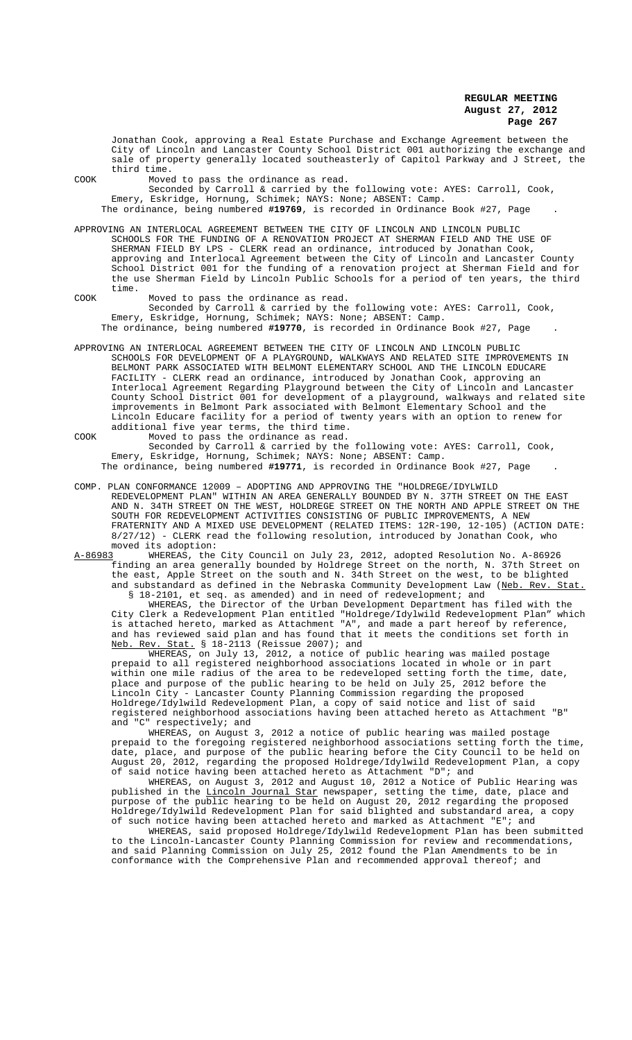Jonathan Cook, approving a Real Estate Purchase and Exchange Agreement between the City of Lincoln and Lancaster County School District 001 authorizing the exchange and sale of property generally located southeasterly of Capitol Parkway and J Street, the third time.

COOK Moved to pass the ordinance as read.

Seconded by Carroll & carried by the following vote: AYES: Carroll, Cook, Emery, Eskridge, Hornung, Schimek; NAYS: None; ABSENT: Camp. The ordinance, being numbered **#19769**, is recorded in Ordinance Book #27, Page .

APPROVING AN INTERLOCAL AGREEMENT BETWEEN THE CITY OF LINCOLN AND LINCOLN PUBLIC SCHOOLS FOR THE FUNDING OF A RENOVATION PROJECT AT SHERMAN FIELD AND THE USE OF SHERMAN FIELD BY LPS - CLERK read an ordinance, introduced by Jonathan Cook, approving and Interlocal Agreement between the City of Lincoln and Lancaster County School District 001 for the funding of a renovation project at Sherman Field and for the use Sherman Field by Lincoln Public Schools for a period of ten years, the third time.

COOK Moved to pass the ordinance as read. Seconded by Carroll & carried by the following vote: AYES: Carroll, Cook, Emery, Eskridge, Hornung, Schimek; NAYS: None; ABSENT: Camp. The ordinance, being numbered **#19770**, is recorded in Ordinance Book #27, Page .

APPROVING AN INTERLOCAL AGREEMENT BETWEEN THE CITY OF LINCOLN AND LINCOLN PUBLIC SCHOOLS FOR DEVELOPMENT OF A PLAYGROUND, WALKWAYS AND RELATED SITE IMPROVEMENTS IN BELMONT PARK ASSOCIATED WITH BELMONT ELEMENTARY SCHOOL AND THE LINCOLN EDUCARE FACILITY - CLERK read an ordinance, introduced by Jonathan Cook, approving an Interlocal Agreement Regarding Playground between the City of Lincoln and Lancaster County School District 001 for development of a playground, walkways and related site improvements in Belmont Park associated with Belmont Elementary School and the Lincoln Educare facility for a period of twenty years with an option to renew for additional five year terms, the third time.

COOK Moved to pass the ordinance as read. Seconded by Carroll & carried by the following vote: AYES: Carroll, Cook, Emery, Eskridge, Hornung, Schimek; NAYS: None; ABSENT: Camp. The ordinance, being numbered **#19771**, is recorded in Ordinance Book #27, Page .

COMP. PLAN CONFORMANCE 12009 – ADOPTING AND APPROVING THE "HOLDREGE/IDYLWILD REDEVELOPMENT PLAN" WITHIN AN AREA GENERALLY BOUNDED BY N. 37TH STREET ON THE EAST 34TH STREET ON THE WEST, HOLDREGE STREET ON THE NORTH AND APPLE STREET ON THE SOUTH FOR REDEVELOPMENT ACTIVITIES CONSISTING OF PUBLIC IMPROVEMENTS, A NEW FRATERNITY AND A MIXED USE DEVELOPMENT (RELATED ITEMS: 12R-190, 12-105) (ACTION DATE: 8/27/12) - CLERK read the following resolution, introduced by Jonathan Cook, who

moved its adoption:<br>A-86983 WHEREAS, the A-86983 MHEREAS, the City Council on July 23, 2012, adopted Resolution No. A-86926 finding an area generally bounded by Holdrege Street on the north, N. 37th Street on the east, Apple Street on the south and N. 34th Street on the west, to be blighted and substandard as defined in the Nebraska Community Development Law (Neb. Rev. Stat.

 § 18-2101, et seq. as amended) and in need of redevelopment; and WHEREAS, the Director of the Urban Development Department has filed with the City Clerk a Redevelopment Plan entitled "Holdrege/Idylwild Redevelopment Plan" which is attached hereto, marked as Attachment "A", and made a part hereof by reference, and has reviewed said plan and has found that it meets the conditions set forth in Neb. Rev. Stat. § 18-2113 (Reissue 2007); and

WHEREAS, on July 13, 2012, a notice of public hearing was mailed postage prepaid to all registered neighborhood associations located in whole or in part within one mile radius of the area to be redeveloped setting forth the time, date, place and purpose of the public hearing to be held on July 25, 2012 before the Lincoln City - Lancaster County Planning Commission regarding the proposed Holdrege/Idylwild Redevelopment Plan, a copy of said notice and list of said registered neighborhood associations having been attached hereto as Attachment "B" and "C" respectively; and

WHEREAS, on August 3, 2012 a notice of public hearing was mailed postage prepaid to the foregoing registered neighborhood associations setting forth the time, date, place, and purpose of the public hearing before the City Council to be held on<br>August 20, 2012, regarding the proposed Holdrege/Idylwild Redevelopment Plan, a copy 20, 2012, regarding the proposed Holdrege/Idylwild Redevelopment Plan, a copy of said notice having been attached hereto as Attachment "D"; and

WHEREAS, on August 3, 2012 and August 10, 2012 a Notice of Public Hearing was published in the Lincoln Journal Star newspaper, setting the time, date, place and purpose of the public hearing to be held on August 20, 2012 regarding the proposed Holdrege/Idylwild Redevelopment Plan for said blighted and substandard area, a copy of such notice having been attached hereto and marked as Attachment "E"; and

WHEREAS, said proposed Holdrege/Idylwild Redevelopment Plan has been submitted to the Lincoln-Lancaster County Planning Commission for review and recommendations, and said Planning Commission on July 25, 2012 found the Plan Amendments to be in conformance with the Comprehensive Plan and recommended approval thereof; and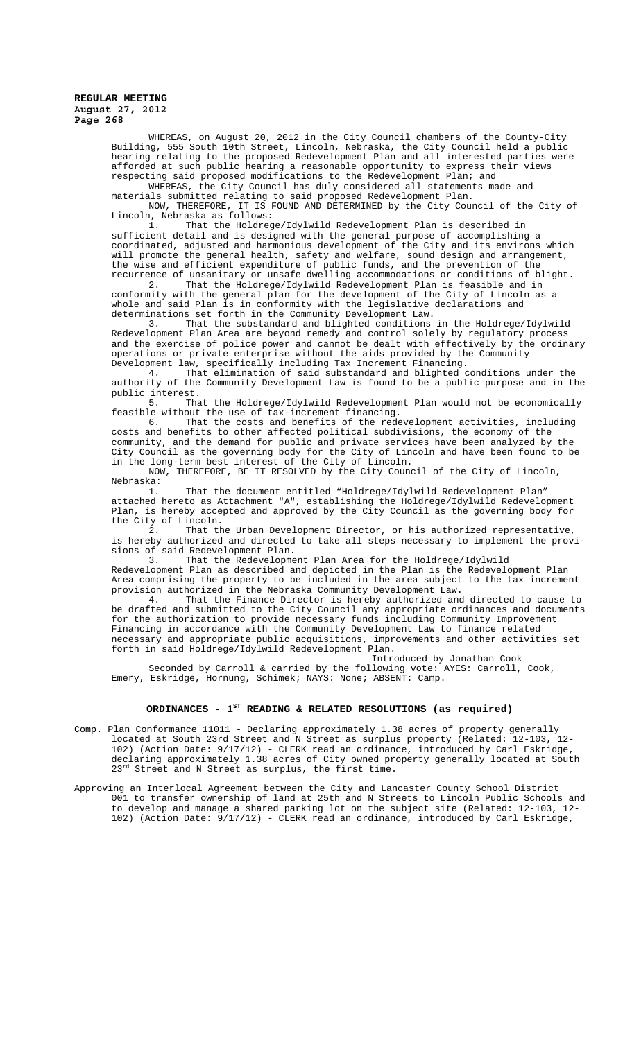> WHEREAS, on August 20, 2012 in the City Council chambers of the County-City Building, 555 South 10th Street, Lincoln, Nebraska, the City Council held a public hearing relating to the proposed Redevelopment Plan and all interested parties were afforded at such public hearing a reasonable opportunity to express their views respecting said proposed modifications to the Redevelopment Plan; and

WHEREAS, the City Council has duly considered all statements made and

materials submitted relating to said proposed Redevelopment Plan. NOW, THEREFORE, IT IS FOUND AND DETERMINED by the City Council of the City of Lincoln, Nebraska as follows:

1. That the Holdrege/Idylwild Redevelopment Plan is described in sufficient detail and is designed with the general purpose of accomplishing a coordinated, adjusted and harmonious development of the City and its environs which will promote the general health, safety and welfare, sound design and arrangement, the wise and efficient expenditure of public funds, and the prevention of the recurrence of unsanitary or unsafe dwelling accommodations or conditions of blight.

2. That the Holdrege/Idylwild Redevelopment Plan is feasible and in conformity with the general plan for the development of the City of Lincoln as a whole and said Plan is in conformity with the legislative declarations and determinations set forth in the Community Development Law.<br>3. That the substandard and blighted conditions

That the substandard and blighted conditions in the Holdrege/Idylwild Redevelopment Plan Area are beyond remedy and control solely by regulatory process and the exercise of police power and cannot be dealt with effectively by the ordinary operations or private enterprise without the aids provided by the Community Development law, specifically including Tax Increment Financing.

4. That elimination of said substandard and blighted conditions under the authority of the Community Development Law is found to be a public purpose and in the

public interest.<br>5. Tha That the Holdrege/Idylwild Redevelopment Plan would not be economically feasible without the use of tax-increment financing.

That the costs and benefits of the redevelopment activities, including costs and benefits to other affected political subdivisions, the economy of the community, and the demand for public and private services have been analyzed by the City Council as the governing body for the City of Lincoln and have been found to be in the long-term best interest of the City of Lincoln.

NOW, THEREFORE, BE IT RESOLVED by the City Council of the City of Lincoln,

Nebraska: 1. That the document entitled "Holdrege/Idylwild Redevelopment Plan" attached hereto as Attachment "A", establishing the Holdrege/Idylwild Redevelopment Plan, is hereby accepted and approved by the City Council as the governing body for the City of Lincoln.

2. That the Urban Development Director, or his authorized representative, is hereby authorized and directed to take all steps necessary to implement the provi-<br>sions of said Redevelopment Plan. of said Redevelopment Plan.<br>3 That the Redevelopme

That the Redevelopment Plan Area for the Holdrege/Idylwild

Redevelopment Plan as described and depicted in the Plan is the Redevelopment Plan Area comprising the property to be included in the area subject to the tax increment provision authorized in the Nebraska Community Development Law.

That the Finance Director is hereby authorized and directed to cause to be drafted and submitted to the City Council any appropriate ordinances and documents for the authorization to provide necessary funds including Community Improvement Financing in accordance with the Community Development Law to finance related necessary and appropriate public acquisitions, improvements and other activities set forth in said Holdrege/Idylwild Redevelopment Plan.

Introduced by Jonathan Cook

Seconded by Carroll & carried by the following vote: AYES: Carroll, Cook, Emery, Eskridge, Hornung, Schimek; NAYS: None; ABSENT: Camp.

# **ORDINANCES - 1ST READING & RELATED RESOLUTIONS (as required)**

- Comp. Plan Conformance 11011 Declaring approximately 1.38 acres of property generally located at South 23rd Street and N Street as surplus property (Related: 12-103, 12- 102) (Action Date: 9/17/12) - CLERK read an ordinance, introduced by Carl Eskridge, declaring approximately 1.38 acres of City owned property generally located at South  $23^{rd}$  Street and N Street as surplus, the first time.
- Approving an Interlocal Agreement between the City and Lancaster County School District 001 to transfer ownership of land at 25th and N Streets to Lincoln Public Schools and to develop and manage a shared parking lot on the subject site (Related: 12-103, 12- 102) (Action Date: 9/17/12) - CLERK read an ordinance, introduced by Carl Eskridge,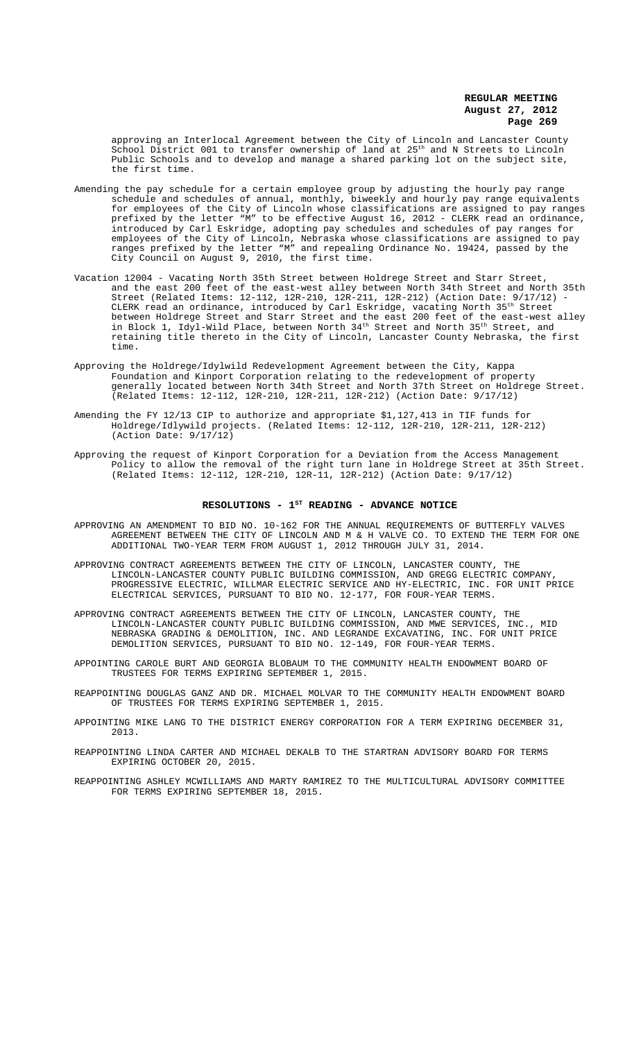approving an Interlocal Agreement between the City of Lincoln and Lancaster County School District 001 to transfer ownership of land at 25th and N Streets to Lincoln Public Schools and to develop and manage a shared parking lot on the subject site, the first time.

- Amending the pay schedule for a certain employee group by adjusting the hourly pay range schedule and schedules of annual, monthly, biweekly and hourly pay range equivalents for employees of the City of Lincoln whose classifications are assigned to pay ranges prefixed by the letter "M" to be effective August 16, 2012 - CLERK read an ordinance, .<br>introduced by Carl Eskridge, adopting pay schedules and schedules of pay ranges for employees of the City of Lincoln, Nebraska whose classifications are assigned to pay ranges prefixed by the letter "M" and repealing Ordinance No. 19424, passed by the City Council on August 9, 2010, the first time.
- Vacation 12004 Vacating North 35th Street between Holdrege Street and Starr Street, and the east 200 feet of the east-west alley between North 34th Street and North 35th Street (Related Items: 12-112, 12R-210, 12R-211, 12R-212) (Action Date: 9/17/12) - CLERK read an ordinance, introduced by Carl Eskridge, vacating North 35th Street between Holdrege Street and Starr Street and the east 200 feet of the east-west alley in Block 1, Idyl-Wild Place, between North 34<sup>th</sup> Street and North 35<sup>th</sup> Street, and retaining title thereto in the City of Lincoln, Lancaster County Nebraska, the first time.
- Approving the Holdrege/Idylwild Redevelopment Agreement between the City, Kappa Foundation and Kinport Corporation relating to the redevelopment of property generally located between North 34th Street and North 37th Street on Holdrege Street. (Related Items: 12-112, 12R-210, 12R-211, 12R-212) (Action Date: 9/17/12)
- Amending the FY 12/13 CIP to authorize and appropriate \$1,127,413 in TIF funds for Holdrege/Idlywild projects. (Related Items: 12-112, 12R-210, 12R-211, 12R-212) (Action Date: 9/17/12)
- Approving the request of Kinport Corporation for a Deviation from the Access Management Policy to allow the removal of the right turn lane in Holdrege Street at 35th Street. (Related Items: 12-112, 12R-210, 12R-11, 12R-212) (Action Date: 9/17/12)

## RESOLUTIONS - 1<sup>st</sup> READING - ADVANCE NOTICE

- APPROVING AN AMENDMENT TO BID NO. 10-162 FOR THE ANNUAL REQUIREMENTS OF BUTTERFLY VALVES AGREEMENT BETWEEN THE CITY OF LINCOLN AND M & H VALVE CO. TO EXTEND THE TERM FOR ONE ADDITIONAL TWO-YEAR TERM FROM AUGUST 1, 2012 THROUGH JULY 31, 2014.
- APPROVING CONTRACT AGREEMENTS BETWEEN THE CITY OF LINCOLN, LANCASTER COUNTY, THE LINCOLN-LANCASTER COUNTY PUBLIC BUILDING COMMISSION, AND GREGG ELECTRIC COMPANY, PROGRESSIVE ELECTRIC, WILLMAR ELECTRIC SERVICE AND HY-ELECTRIC, INC. FOR UNIT PRICE ELECTRICAL SERVICES, PURSUANT TO BID NO. 12-177, FOR FOUR-YEAR TERMS.
- APPROVING CONTRACT AGREEMENTS BETWEEN THE CITY OF LINCOLN, LANCASTER COUNTY, THE LINCOLN-LANCASTER COUNTY PUBLIC BUILDING COMMISSION, AND MWE SERVICES, INC., MID NEBRASKA GRADING & DEMOLITION, INC. AND LEGRANDE EXCAVATING, INC. FOR UNIT PRICE DEMOLITION SERVICES, PURSUANT TO BID NO. 12-149, FOR FOUR-YEAR TERMS.
- APPOINTING CAROLE BURT AND GEORGIA BLOBAUM TO THE COMMUNITY HEALTH ENDOWMENT BOARD OF TRUSTEES FOR TERMS EXPIRING SEPTEMBER 1, 2015.
- REAPPOINTING DOUGLAS GANZ AND DR. MICHAEL MOLVAR TO THE COMMUNITY HEALTH ENDOWMENT BOARD OF TRUSTEES FOR TERMS EXPIRING SEPTEMBER 1, 2015.
- APPOINTING MIKE LANG TO THE DISTRICT ENERGY CORPORATION FOR A TERM EXPIRING DECEMBER 31, 2013.
- REAPPOINTING LINDA CARTER AND MICHAEL DEKALB TO THE STARTRAN ADVISORY BOARD FOR TERMS EXPIRING OCTOBER 20, 2015.
- REAPPOINTING ASHLEY MCWILLIAMS AND MARTY RAMIREZ TO THE MULTICULTURAL ADVISORY COMMITTEE FOR TERMS EXPIRING SEPTEMBER 18, 2015.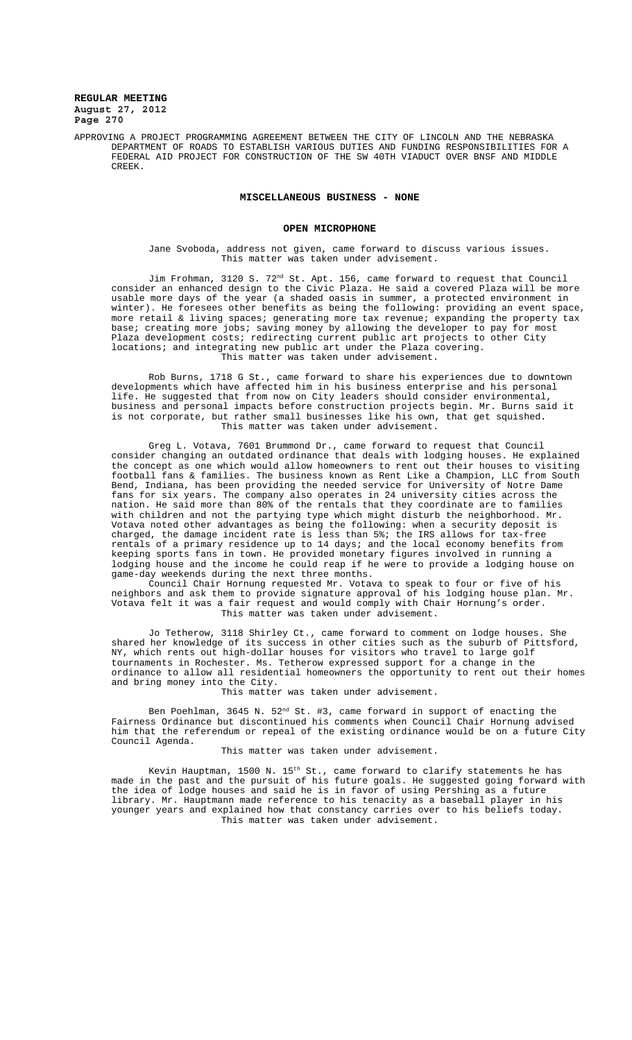APPROVING A PROJECT PROGRAMMING AGREEMENT BETWEEN THE CITY OF LINCOLN AND THE NEBRASKA DEPARTMENT OF ROADS TO ESTABLISH VARIOUS DUTIES AND FUNDING RESPONSIBILITIES FOR A FEDERAL AID PROJECT FOR CONSTRUCTION OF THE SW 40TH VIADUCT OVER BNSF AND MIDDLE CREEK.

## **MISCELLANEOUS BUSINESS - NONE**

#### **OPEN MICROPHONE**

Jane Svoboda, address not given, came forward to discuss various issues. This matter was taken under advisement.

Jim Frohman, 3120 S.  $72^{\text{nd}}$  St. Apt. 156, came forward to request that Council consider an enhanced design to the Civic Plaza. He said a covered Plaza will be more usable more days of the year (a shaded oasis in summer, a protected environment in winter). He foresees other benefits as being the following: providing an event space, more retail & living spaces; generating more tax revenue; expanding the property tax base; creating more jobs; saving money by allowing the developer to pay for most Plaza development costs; redirecting current public art projects to other City locations; and integrating new public art under the Plaza covering. This matter was taken under advisement.

Rob Burns, 1718 G St., came forward to share his experiences due to downtown developments which have affected him in his business enterprise and his personal life. He suggested that from now on City leaders should consider environmental, business and personal impacts before construction projects begin. Mr. Burns said it is not corporate, but rather small businesses like his own, that get squished. This matter was taken under advisement.

Greg L. Votava, 7601 Brummond Dr., came forward to request that Council consider changing an outdated ordinance that deals with lodging houses. He explained the concept as one which would allow homeowners to rent out their houses to visiting football fans & families. The business known as Rent Like a Champion, LLC from South Bend, Indiana, has been providing the needed service for University of Notre Dame fans for six years. The company also operates in 24 university cities across the nation. He said more than 80% of the rentals that they coordinate are to families with children and not the partying type which might disturb the neighborhood. Mr. Votava noted other advantages as being the following: when a security deposit is charged, the damage incident rate is less than 5%; the IRS allows for tax-free rentals of a primary residence up to 14 days; and the local economy benefits from keeping sports fans in town. He provided monetary figures involved in running a lodging house and the income he could reap if he were to provide a lodging house on game-day weekends during the next three months.

Council Chair Hornung requested Mr. Votava to speak to four or five of his neighbors and ask them to provide signature approval of his lodging house plan. Mr. Votava felt it was a fair request and would comply with Chair Hornung's order. This matter was taken under advisement.

Jo Tetherow, 3118 Shirley Ct., came forward to comment on lodge houses. She shared her knowledge of its success in other cities such as the suburb of Pittsford, NY, which rents out high-dollar houses for visitors who travel to large golf tournaments in Rochester. Ms. Tetherow expressed support for a change in the ordinance to allow all residential homeowners the opportunity to rent out their homes and bring money into the City.

This matter was taken under advisement.

Ben Poehlman, 3645 N. 52<sup>nd</sup> St. #3, came forward in support of enacting the Fairness Ordinance but discontinued his comments when Council Chair Hornung advised him that the referendum or repeal of the existing ordinance would be on a future City Council Agenda.

#### This matter was taken under advisement.

Kevin Hauptman, 1500 N. 15<sup>th</sup> St., came forward to clarify statements he has made in the past and the pursuit of his future goals. He suggested going forward with the idea of lodge houses and said he is in favor of using Pershing as a future library. Mr. Hauptmann made reference to his tenacity as a baseball player in his younger years and explained how that constancy carries over to his beliefs today. This matter was taken under advisement.